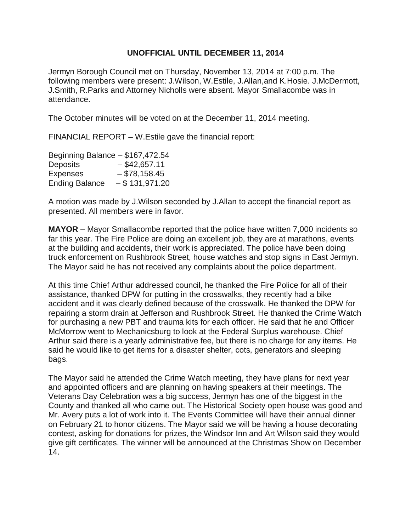## **UNOFFICIAL UNTIL DECEMBER 11, 2014**

Jermyn Borough Council met on Thursday, November 13, 2014 at 7:00 p.m. The following members were present: J.Wilson, W.Estile, J.Allan,and K.Hosie. J.McDermott, J.Smith, R.Parks and Attorney Nicholls were absent. Mayor Smallacombe was in attendance.

The October minutes will be voted on at the December 11, 2014 meeting.

FINANCIAL REPORT – W.Estile gave the financial report:

Beginning Balance – \$167,472.54 Deposits – \$42,657.11 Expenses – \$78,158.45 Ending Balance  $-$  \$ 131,971.20

A motion was made by J.Wilson seconded by J.Allan to accept the financial report as presented. All members were in favor.

**MAYOR** – Mayor Smallacombe reported that the police have written 7,000 incidents so far this year. The Fire Police are doing an excellent job, they are at marathons, events at the building and accidents, their work is appreciated. The police have been doing truck enforcement on Rushbrook Street, house watches and stop signs in East Jermyn. The Mayor said he has not received any complaints about the police department.

At this time Chief Arthur addressed council, he thanked the Fire Police for all of their assistance, thanked DPW for putting in the crosswalks, they recently had a bike accident and it was clearly defined because of the crosswalk. He thanked the DPW for repairing a storm drain at Jefferson and Rushbrook Street. He thanked the Crime Watch for purchasing a new PBT and trauma kits for each officer. He said that he and Officer McMorrow went to Mechanicsburg to look at the Federal Surplus warehouse. Chief Arthur said there is a yearly administrative fee, but there is no charge for any items. He said he would like to get items for a disaster shelter, cots, generators and sleeping bags.

The Mayor said he attended the Crime Watch meeting, they have plans for next year and appointed officers and are planning on having speakers at their meetings. The Veterans Day Celebration was a big success, Jermyn has one of the biggest in the County and thanked all who came out. The Historical Society open house was good and Mr. Avery puts a lot of work into it. The Events Committee will have their annual dinner on February 21 to honor citizens. The Mayor said we will be having a house decorating contest, asking for donations for prizes, the Windsor Inn and Art Wilson said they would give gift certificates. The winner will be announced at the Christmas Show on December 14.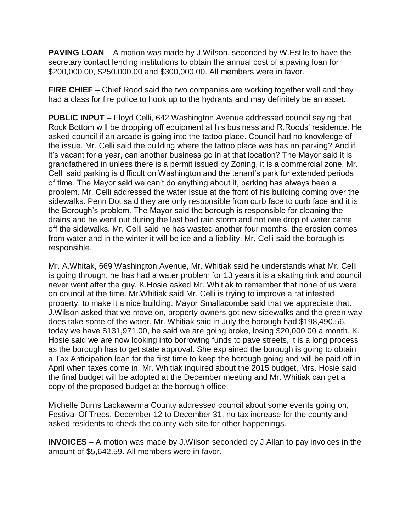**PAVING LOAN** – A motion was made by J. Wilson, seconded by W. Estile to have the secretary contact lending institutions to obtain the annual cost of a paving loan for \$200,000.00, \$250,000.00 and \$300,000.00. All members were in favor.

**FIRE CHIEF** – Chief Rood said the two companies are working together well and they had a class for fire police to hook up to the hydrants and may definitely be an asset.

**PUBLIC INPUT** – Floyd Celli, 642 Washington Avenue addressed council saying that Rock Bottom will be dropping off equipment at his business and R.Roods' residence. He asked council if an arcade is going into the tattoo place. Council had no knowledge of the issue. Mr. Celli said the building where the tattoo place was has no parking? And if it's vacant for a year, can another business go in at that location? The Mayor said it is grandfathered in unless there is a permit issued by Zoning, it is a commercial zone. Mr. Celli said parking is difficult on Washington and the tenant's park for extended periods of time. The Mayor said we can't do anything about it, parking has always been a problem. Mr. Celli addressed the water issue at the front of his building coming over the sidewalks. Penn Dot said they are only responsible from curb face to curb face and it is the Borough's problem. The Mayor said the borough is responsible for cleaning the drains and he went out during the last bad rain storm and not one drop of water came off the sidewalks. Mr. Celli said he has wasted another four months, the erosion comes from water and in the winter it will be ice and a liability. Mr. Celli said the borough is responsible.

Mr. A.Whitak, 669 Washington Avenue, Mr. Whitiak said he understands what Mr. Celli is going through, he has had a water problem for 13 years it is a skating rink and council never went after the guy. K.Hosie asked Mr. Whitiak to remember that none of us were on council at the time. Mr.Whitiak said Mr. Celli is trying to improve a rat infested property, to make it a nice building. Mayor Smallacombe said that we appreciate that. J.Wilson asked that we move on, property owners got new sidewalks and the green way does take some of the water. Mr. Whitiak said in July the borough had \$198,490.56, today we have \$131,971.00, he said we are going broke, losing \$20,000.00 a month. K. Hosie said we are now looking into borrowing funds to pave streets, it is a long process as the borough has to get state approval. She explained the borough is going to obtain a Tax Anticipation loan for the first time to keep the borough going and will be paid off in April when taxes come in. Mr. Whitiak inquired about the 2015 budget, Mrs. Hosie said the final budget will be adopted at the December meeting and Mr. Whitiak can get a copy of the proposed budget at the borough office.

Michelle Burns Lackawanna County addressed council about some events going on, Festival Of Trees, December 12 to December 31, no tax increase for the county and asked residents to check the county web site for other happenings.

**INVOICES** – A motion was made by J.Wilson seconded by J.Allan to pay invoices in the amount of \$5,642.59. All members were in favor.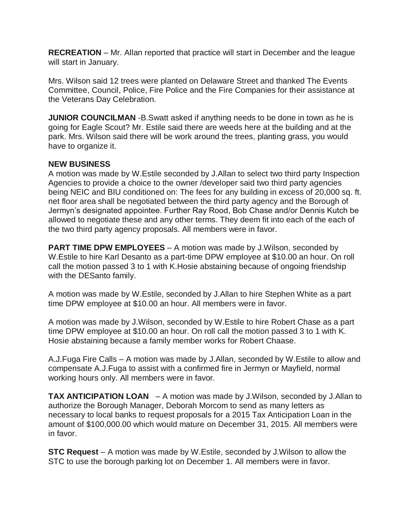**RECREATION** – Mr. Allan reported that practice will start in December and the league will start in January.

Mrs. Wilson said 12 trees were planted on Delaware Street and thanked The Events Committee, Council, Police, Fire Police and the Fire Companies for their assistance at the Veterans Day Celebration.

**JUNIOR COUNCILMAN** -B.Swatt asked if anything needs to be done in town as he is going for Eagle Scout? Mr. Estile said there are weeds here at the building and at the park. Mrs. Wilson said there will be work around the trees, planting grass, you would have to organize it.

## **NEW BUSINESS**

A motion was made by W.Estile seconded by J.Allan to select two third party Inspection Agencies to provide a choice to the owner /developer said two third party agencies being NEIC and BIU conditioned on: The fees for any building in excess of 20,000 sq. ft. net floor area shall be negotiated between the third party agency and the Borough of Jermyn's designated appointee. Further Ray Rood, Bob Chase and/or Dennis Kutch be allowed to negotiate these and any other terms. They deem fit into each of the each of the two third party agency proposals. All members were in favor.

**PART TIME DPW EMPLOYEES** – A motion was made by J. Wilson, seconded by W.Estile to hire Karl Desanto as a part-time DPW employee at \$10.00 an hour. On roll call the motion passed 3 to 1 with K.Hosie abstaining because of ongoing friendship with the DESanto family.

A motion was made by W.Estile, seconded by J.Allan to hire Stephen White as a part time DPW employee at \$10.00 an hour. All members were in favor.

A motion was made by J.Wilson, seconded by W.Estile to hire Robert Chase as a part time DPW employee at \$10.00 an hour. On roll call the motion passed 3 to 1 with K. Hosie abstaining because a family member works for Robert Chaase.

A.J.Fuga Fire Calls – A motion was made by J.Allan, seconded by W.Estile to allow and compensate A.J.Fuga to assist with a confirmed fire in Jermyn or Mayfield, normal working hours only. All members were in favor.

**TAX ANTICIPATION LOAN** – A motion was made by J.Wilson, seconded by J.Allan to authorize the Borough Manager, Deborah Morcom to send as many letters as necessary to local banks to request proposals for a 2015 Tax Anticipation Loan in the amount of \$100,000.00 which would mature on December 31, 2015. All members were in favor.

**STC Request** – A motion was made by W.Estile, seconded by J.Wilson to allow the STC to use the borough parking lot on December 1. All members were in favor.